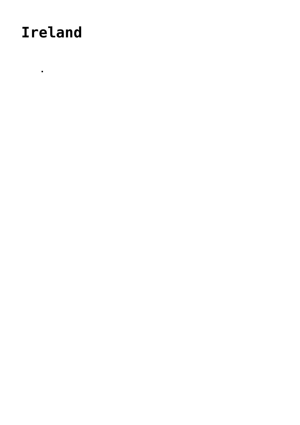## **[Ireland](https://www.gu.ni.rs/international-cooperation/bilateral-cooperation/ireland/)**

2019

The City of Nis accepted the participation in the project TOMORROW, which is realized within the partnership led by the Energy Cities Association, financed by the European Union within the HORIZON 2020 Programme (H2020 framework LC-SC3-EE-16-2018-2019 -2020, Providing Support to Public Authorities in the Implementation of the Energy Union), while the Contracting Authority is the European Commission. The overall objective of the TOMORROW project is to empower local authorities to lead the transition to cities with low greenhouse gas emissions, which are more resistant to climate change and generally more pleasant for the